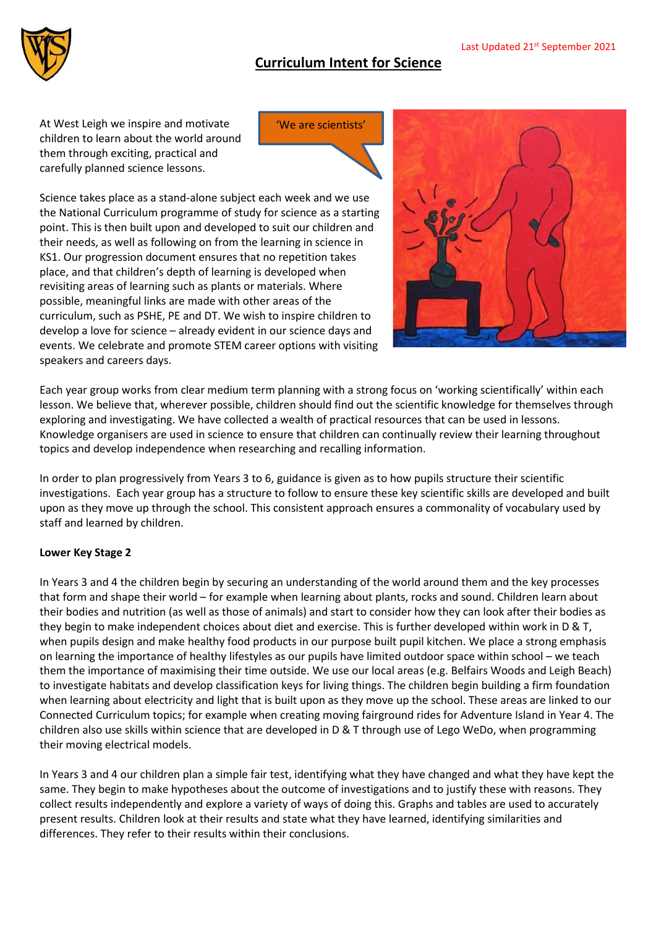'We are scientists'



At West Leigh we inspire and motivate children to learn about the world around them through exciting, practical and carefully planned science lessons.

Science takes place as a stand-alone subject each week and we use the National Curriculum programme of study for science as a starting point. This is then built upon and developed to suit our children and their needs, as well as following on from the learning in science in KS1. Our progression document ensures that no repetition takes place, and that children's depth of learning is developed when revisiting areas of learning such as plants or materials. Where possible, meaningful links are made with other areas of the curriculum, such as PSHE, PE and DT. We wish to inspire children to develop a love for science – already evident in our science days and events. We celebrate and promote STEM career options with visiting speakers and careers days.



Each year group works from clear medium term planning with a strong focus on 'working scientifically' within each lesson. We believe that, wherever possible, children should find out the scientific knowledge for themselves through exploring and investigating. We have collected a wealth of practical resources that can be used in lessons. Knowledge organisers are used in science to ensure that children can continually review their learning throughout topics and develop independence when researching and recalling information.

In order to plan progressively from Years 3 to 6, guidance is given as to how pupils structure their scientific investigations. Each year group has a structure to follow to ensure these key scientific skills are developed and built upon as they move up through the school. This consistent approach ensures a commonality of vocabulary used by staff and learned by children.

## **Lower Key Stage 2**

In Years 3 and 4 the children begin by securing an understanding of the world around them and the key processes that form and shape their world – for example when learning about plants, rocks and sound. Children learn about their bodies and nutrition (as well as those of animals) and start to consider how they can look after their bodies as they begin to make independent choices about diet and exercise. This is further developed within work in D & T, when pupils design and make healthy food products in our purpose built pupil kitchen. We place a strong emphasis on learning the importance of healthy lifestyles as our pupils have limited outdoor space within school – we teach them the importance of maximising their time outside. We use our local areas (e.g. Belfairs Woods and Leigh Beach) to investigate habitats and develop classification keys for living things. The children begin building a firm foundation when learning about electricity and light that is built upon as they move up the school. These areas are linked to our Connected Curriculum topics; for example when creating moving fairground rides for Adventure Island in Year 4. The children also use skills within science that are developed in D & T through use of Lego WeDo, when programming their moving electrical models.

In Years 3 and 4 our children plan a simple fair test, identifying what they have changed and what they have kept the same. They begin to make hypotheses about the outcome of investigations and to justify these with reasons. They collect results independently and explore a variety of ways of doing this. Graphs and tables are used to accurately present results. Children look at their results and state what they have learned, identifying similarities and differences. They refer to their results within their conclusions.